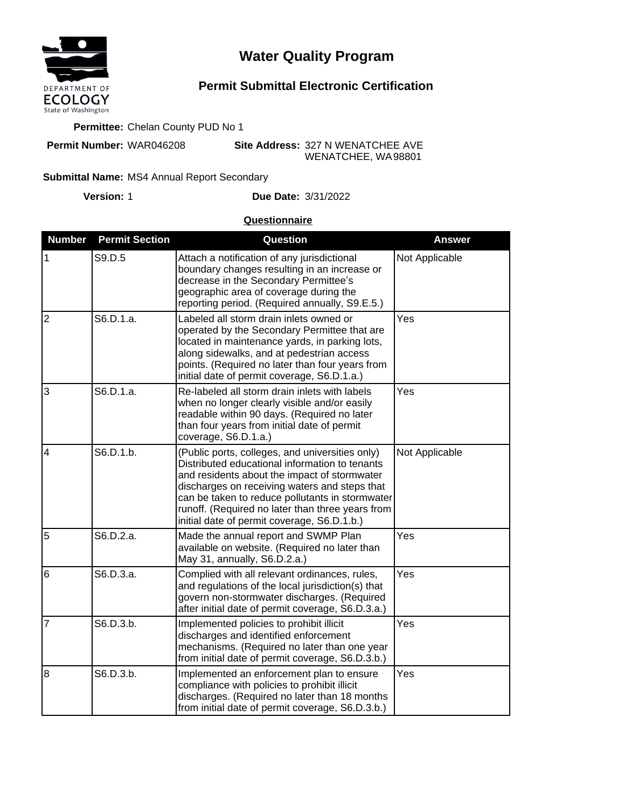

# **Water Quality Program**

## **Permit Submittal Electronic Certification**

#### **Permittee:** Chelan County PUD No 1

**Permit Number:** WAR046208

**Site Address:** 327 N WENATCHEE AVE WENATCHEE, WA 98801

#### Submittal Name: MS4 Annual Report Secondary

**Version:**

1 **Due Date:** 3/31/2022

### **Questionnaire**

| <b>Number</b>  | <b>Permit Section</b> | Question                                                                                                                                                                                                                                                                                                                                                 | <b>Answer</b>  |
|----------------|-----------------------|----------------------------------------------------------------------------------------------------------------------------------------------------------------------------------------------------------------------------------------------------------------------------------------------------------------------------------------------------------|----------------|
| 1              | S9.D.5                | Attach a notification of any jurisdictional<br>boundary changes resulting in an increase or<br>decrease in the Secondary Permittee's<br>geographic area of coverage during the<br>reporting period. (Required annually, S9.E.5.)                                                                                                                         | Not Applicable |
| $\overline{2}$ | S6.D.1.a.             | Labeled all storm drain inlets owned or<br>operated by the Secondary Permittee that are<br>located in maintenance yards, in parking lots,<br>along sidewalks, and at pedestrian access<br>points. (Required no later than four years from<br>initial date of permit coverage, S6.D.1.a.)                                                                 | Yes            |
| $\overline{3}$ | S6.D.1.a.             | Re-labeled all storm drain inlets with labels<br>when no longer clearly visible and/or easily<br>readable within 90 days. (Required no later<br>than four years from initial date of permit<br>coverage, S6.D.1.a.)                                                                                                                                      | Yes            |
| $\overline{4}$ | S6.D.1.b.             | (Public ports, colleges, and universities only)<br>Distributed educational information to tenants<br>and residents about the impact of stormwater<br>discharges on receiving waters and steps that<br>can be taken to reduce pollutants in stormwater<br>runoff. (Required no later than three years from<br>initial date of permit coverage, S6.D.1.b.) | Not Applicable |
| 5              | S6.D.2.a.             | Made the annual report and SWMP Plan<br>available on website. (Required no later than<br>May 31, annually, S6.D.2.a.)                                                                                                                                                                                                                                    | Yes            |
| 6              | S6.D.3.a.             | Complied with all relevant ordinances, rules,<br>and regulations of the local jurisdiction(s) that<br>govern non-stormwater discharges. (Required<br>after initial date of permit coverage, S6.D.3.a.)                                                                                                                                                   | Yes            |
| $\overline{7}$ | S6.D.3.b.             | Implemented policies to prohibit illicit<br>discharges and identified enforcement<br>mechanisms. (Required no later than one year<br>from initial date of permit coverage, S6.D.3.b.)                                                                                                                                                                    | Yes            |
| $\overline{8}$ | S6.D.3.b.             | Implemented an enforcement plan to ensure<br>compliance with policies to prohibit illicit<br>discharges. (Required no later than 18 months<br>from initial date of permit coverage, S6.D.3.b.)                                                                                                                                                           | Yes            |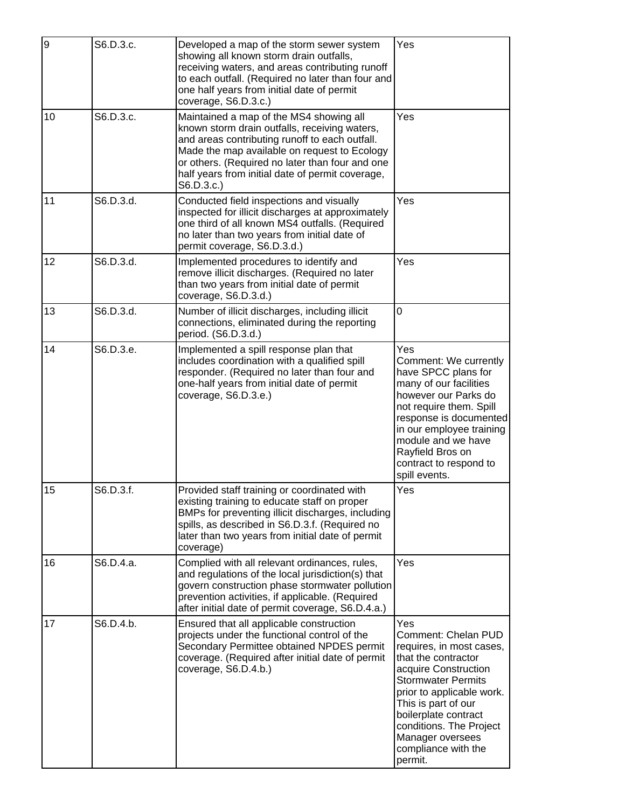| $\overline{9}$ | S6.D.3.c. | Developed a map of the storm sewer system<br>showing all known storm drain outfalls,<br>receiving waters, and areas contributing runoff<br>to each outfall. (Required no later than four and<br>one half years from initial date of permit<br>coverage, S6.D.3.c.)                                              | Yes                                                                                                                                                                                                                                                                                             |
|----------------|-----------|-----------------------------------------------------------------------------------------------------------------------------------------------------------------------------------------------------------------------------------------------------------------------------------------------------------------|-------------------------------------------------------------------------------------------------------------------------------------------------------------------------------------------------------------------------------------------------------------------------------------------------|
| 10             | S6.D.3.c. | Maintained a map of the MS4 showing all<br>known storm drain outfalls, receiving waters,<br>and areas contributing runoff to each outfall.<br>Made the map available on request to Ecology<br>or others. (Required no later than four and one<br>half years from initial date of permit coverage,<br>S6.D.3.c.) | Yes                                                                                                                                                                                                                                                                                             |
| 11             | S6.D.3.d. | Conducted field inspections and visually<br>inspected for illicit discharges at approximately<br>one third of all known MS4 outfalls. (Required<br>no later than two years from initial date of<br>permit coverage, S6.D.3.d.)                                                                                  | Yes                                                                                                                                                                                                                                                                                             |
| 12             | S6.D.3.d. | Implemented procedures to identify and<br>remove illicit discharges. (Required no later<br>than two years from initial date of permit<br>coverage, S6.D.3.d.)                                                                                                                                                   | Yes                                                                                                                                                                                                                                                                                             |
| 13             | S6.D.3.d. | Number of illicit discharges, including illicit<br>connections, eliminated during the reporting<br>period. (S6.D.3.d.)                                                                                                                                                                                          | 0                                                                                                                                                                                                                                                                                               |
| 14             | S6.D.3.e. | Implemented a spill response plan that<br>includes coordination with a qualified spill<br>responder. (Required no later than four and<br>one-half years from initial date of permit<br>coverage, S6.D.3.e.)                                                                                                     | Yes<br>Comment: We currently<br>have SPCC plans for<br>many of our facilities<br>however our Parks do<br>not require them. Spill<br>response is documented<br>in our employee training<br>module and we have<br>Rayfield Bros on<br>contract to respond to<br>spill events.                     |
| 15             | S6.D.3.f. | Provided staff training or coordinated with<br>existing training to educate staff on proper<br>BMPs for preventing illicit discharges, including<br>spills, as described in S6.D.3.f. (Required no<br>later than two years from initial date of permit<br>coverage)                                             | Yes                                                                                                                                                                                                                                                                                             |
| 16             | S6.D.4.a. | Complied with all relevant ordinances, rules,<br>and regulations of the local jurisdiction(s) that<br>govern construction phase stormwater pollution<br>prevention activities, if applicable. (Required<br>after initial date of permit coverage, S6.D.4.a.)                                                    | Yes                                                                                                                                                                                                                                                                                             |
| 17             | S6.D.4.b. | Ensured that all applicable construction<br>projects under the functional control of the<br>Secondary Permittee obtained NPDES permit<br>coverage. (Required after initial date of permit<br>coverage, S6.D.4.b.)                                                                                               | Yes<br>Comment: Chelan PUD<br>requires, in most cases,<br>that the contractor<br>acquire Construction<br><b>Stormwater Permits</b><br>prior to applicable work.<br>This is part of our<br>boilerplate contract<br>conditions. The Project<br>Manager oversees<br>compliance with the<br>permit. |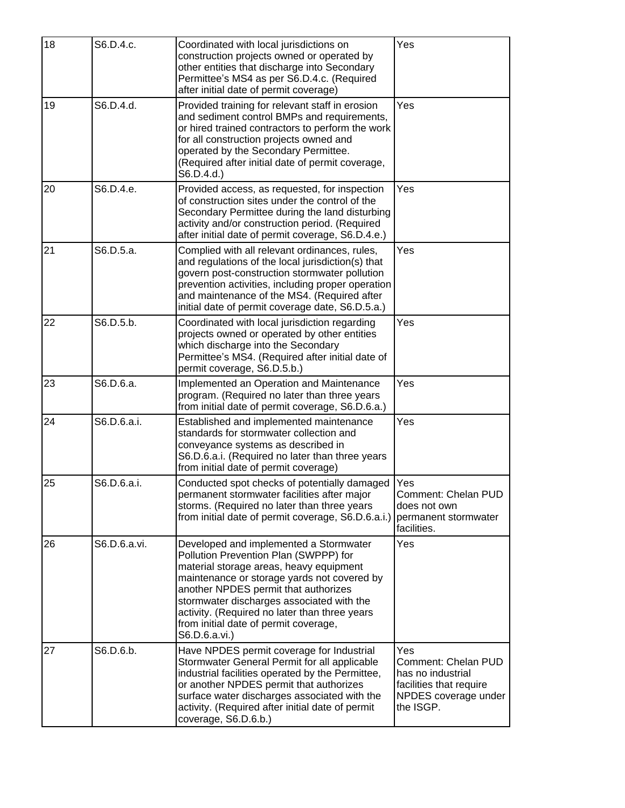| 18 | S6.D.4.c.    | Coordinated with local jurisdictions on<br>construction projects owned or operated by<br>other entities that discharge into Secondary<br>Permittee's MS4 as per S6.D.4.c. (Required<br>after initial date of permit coverage)                                                                                                                                             | Yes                                                                                                             |
|----|--------------|---------------------------------------------------------------------------------------------------------------------------------------------------------------------------------------------------------------------------------------------------------------------------------------------------------------------------------------------------------------------------|-----------------------------------------------------------------------------------------------------------------|
| 19 | S6.D.4.d.    | Provided training for relevant staff in erosion<br>and sediment control BMPs and requirements,<br>or hired trained contractors to perform the work<br>for all construction projects owned and<br>operated by the Secondary Permittee.<br>(Required after initial date of permit coverage,<br>S6.D.4.d.                                                                    | Yes                                                                                                             |
| 20 | S6.D.4.e.    | Provided access, as requested, for inspection<br>of construction sites under the control of the<br>Secondary Permittee during the land disturbing<br>activity and/or construction period. (Required<br>after initial date of permit coverage, S6.D.4.e.)                                                                                                                  | Yes                                                                                                             |
| 21 | S6.D.5.a.    | Complied with all relevant ordinances, rules,<br>and regulations of the local jurisdiction(s) that<br>govern post-construction stormwater pollution<br>prevention activities, including proper operation<br>and maintenance of the MS4. (Required after<br>initial date of permit coverage date, S6.D.5.a.)                                                               | Yes                                                                                                             |
| 22 | S6.D.5.b.    | Coordinated with local jurisdiction regarding<br>projects owned or operated by other entities<br>which discharge into the Secondary<br>Permittee's MS4. (Required after initial date of<br>permit coverage, S6.D.5.b.)                                                                                                                                                    | Yes                                                                                                             |
| 23 | S6.D.6.a.    | Implemented an Operation and Maintenance<br>program. (Required no later than three years<br>from initial date of permit coverage, S6.D.6.a.)                                                                                                                                                                                                                              | Yes                                                                                                             |
| 24 | S6.D.6.a.i.  | Established and implemented maintenance<br>standards for stormwater collection and<br>conveyance systems as described in<br>S6.D.6.a.i. (Required no later than three years<br>from initial date of permit coverage)                                                                                                                                                      | Yes                                                                                                             |
| 25 | S6.D.6.a.i.  | Conducted spot checks of potentially damaged<br>permanent stormwater facilities after major<br>storms. (Required no later than three years<br>from initial date of permit coverage, S6.D.6.a.i.)                                                                                                                                                                          | Yes<br>Comment: Chelan PUD<br>does not own<br>permanent stormwater<br>facilities.                               |
| 26 | S6.D.6.a.vi. | Developed and implemented a Stormwater<br>Pollution Prevention Plan (SWPPP) for<br>material storage areas, heavy equipment<br>maintenance or storage yards not covered by<br>another NPDES permit that authorizes<br>stormwater discharges associated with the<br>activity. (Required no later than three years<br>from initial date of permit coverage,<br>S6.D.6.a.vi.) | Yes                                                                                                             |
| 27 | S6.D.6.b.    | Have NPDES permit coverage for Industrial<br>Stormwater General Permit for all applicable<br>industrial facilities operated by the Permittee,<br>or another NPDES permit that authorizes<br>surface water discharges associated with the<br>activity. (Required after initial date of permit<br>coverage, S6.D.6.b.)                                                      | Yes<br>Comment: Chelan PUD<br>has no industrial<br>facilities that require<br>NPDES coverage under<br>the ISGP. |